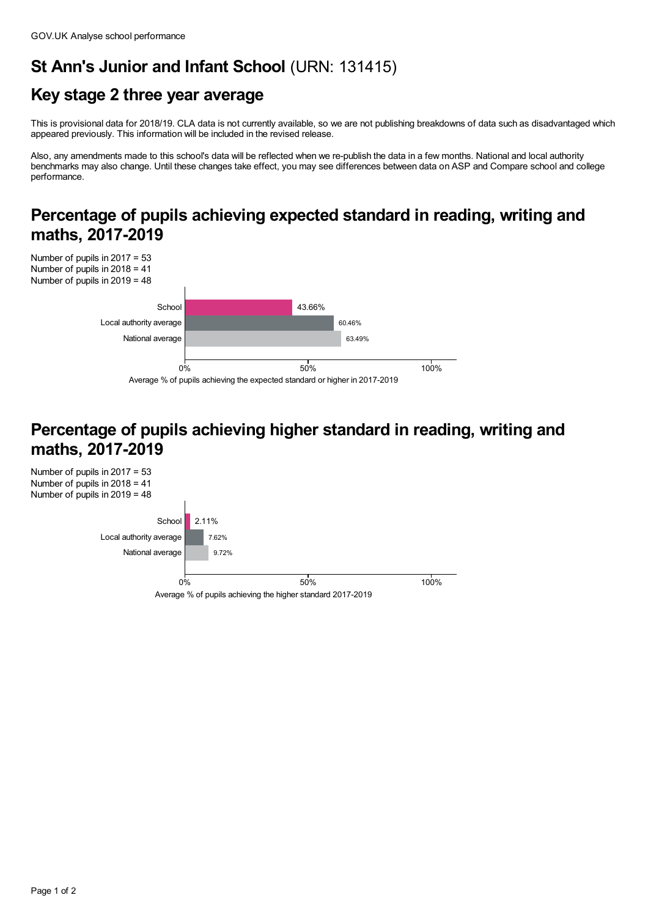## **St Ann's Junior and Infant School** (URN: 131415)

# **Key stage 2 three year average**

This is provisional data for 2018/19. CLA data is not currently available, so we are not publishing breakdowns of data such as disadvantaged which appeared previously. This information will be included in the revised release.

Also, any amendments made to this school's data will be reflected when we re-publish the data in a few months. National and local authority benchmarks may also change. Until these changes take effect, you may see differences between data on ASP and Compare school and college performance.

#### **Percentage of pupils achieving expected standard in reading, writing and maths, 2017-2019**



#### **Percentage of pupils achieving higher standard in reading, writing and maths, 2017-2019**